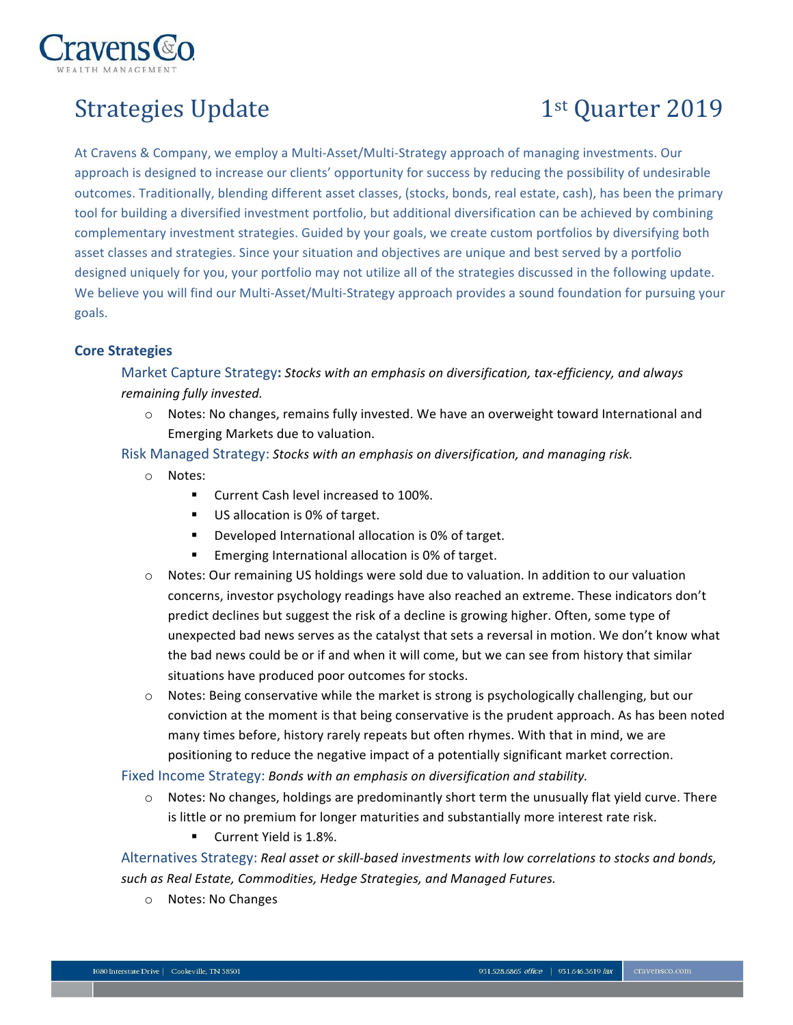

## Strategies Update 1st Quarter 2019

At Cravens & Company, we employ a Multi-Asset/Multi-Strategy approach of managing investments. Our approach is designed to increase our clients' opportunity for success by reducing the possibility of undesirable outcomes. Traditionally, blending different asset classes, (stocks, bonds, real estate, cash), has been the primary tool for building a diversified investment portfolio, but additional diversification can be achieved by combining complementary investment strategies. Guided by your goals, we create custom portfolios by diversifying both asset classes and strategies. Since your situation and objectives are unique and best served by a portfolio designed uniquely for you, your portfolio may not utilize all of the strategies discussed in the following update. We believe you will find our Multi-Asset/Multi-Strategy approach provides a sound foundation for pursuing your goals.

## **Core Strategies**

 Market Capture Strategy**:** *Stocks with an emphasis on diversification, tax-efficiency, and always remaining fully invested.*

- o Notes: No changes, remains fully invested. We have an overweight toward International and Emerging Markets due to valuation.
- Risk Managed Strategy: *Stocks with an emphasis on diversification, and managing risk.*
	- o Notes:
		- **EXECUTE:** Current Cash level increased to 100%.
		- **US allocation is 0% of target.**
		- ! Developed International allocation is 0% of target.
		- **Emerging International allocation is 0% of target.**
	- o Notes: Our remaining US holdings were sold due to valuation. In addition to our valuation concerns, investor psychology readings have also reached an extreme. These indicators don't predict declines but suggest the risk of a decline is growing higher. Often, some type of unexpected bad news serves as the catalyst that sets a reversal in motion. We don't know what the bad news could be or if and when it will come, but we can see from history that similar situations have produced poor outcomes for stocks.
	- o Notes: Being conservative while the market is strong is psychologically challenging, but our conviction at the moment is that being conservative is the prudent approach. As has been noted many times before, history rarely repeats but often rhymes. With that in mind, we are positioning to reduce the negative impact of a potentially significant market correction.

Fixed Income Strategy: *Bonds with an emphasis on diversification and stability.*

- o Notes: No changes, holdings are predominantly short term the unusually flat yield curve. There is little or no premium for longer maturities and substantially more interest rate risk.
	- **Current Yield is 1.8%.**

 Alternatives Strategy: *Real asset or skill-based investments with low correlations to stocks and bonds, such as Real Estate, Commodities, Hedge Strategies, and Managed Futures.*

o Notes: No Changes